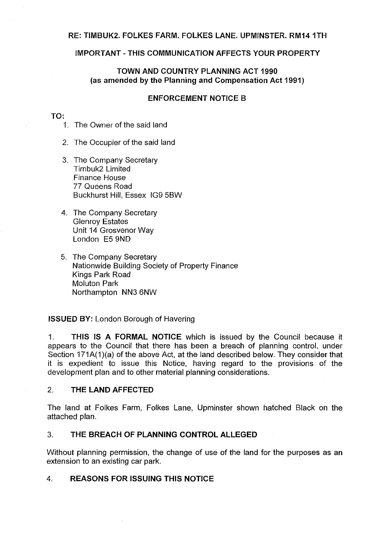#### **RE: TIMBUK2. FOLKES FARM. FOLKES LANE. UPMINSTER. RM141TH**

## **IMPORTANT-THIS COMMUNICATION AFFECTS YOUR PROPERTY**

# **TOWN AND COUNTRY PLANNING ACT 1990 (as amended by the Planning and Compensation Act 1991)**

## **ENFORCEMENT NOTICE B**

#### **TO:**

- 1. The Owner of the said land
- 2. The Occupier of the said land
- 3. The Company Secretary Timbuk2 Limited Finance House 77 Queens Road Buckhurst Hill, Essex IG9 5BW
- 4. The Company Secretary Glenroy Estates Unit 14 Grosvenor Way London E5 9ND
- 5. The Company Secretary Nationwide Building Society of Property Finance Kings Park Road Moluton Park Northampton NN3 6NW

**ISSUED BY:** London Borough of Havering

1. **THIS IS A FORMAL NOTICE** which is issued by the Council because it appears to the Council that there has been a breach of planning control, under Section 171A(1)(a) of the above Act, at the land described below. They consider that it is expedient to issue this Notice, having regard to the provisions of the development plan and to other material planning considerations.

#### 2. **THE LAND AFFECTED**

The land at Folkes Farm, Folkes Lane, Upminster shown hatched Black on the attached plan.

#### 3. **THE BREACH OF PLANNING CONTROL ALLEGED**

Without planning permission, the change of use of the land for the purposes as an extension to an existing car park.

## 4. **REASONS FOR ISSUING THIS NOTICE**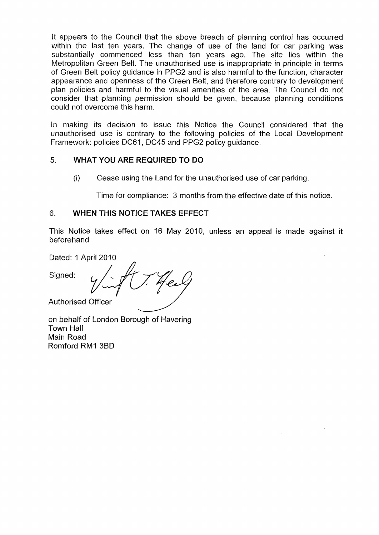It appears to the Council that the above breach of planning control has occurred within the last ten years. The change of use of the land for car parking was substantially commenced less than ten years ago. The site lies within the Metropolitan Green Belt. The unauthorised use is inappropriate in principle in terms of Green Belt policy guidance in PPG2 and is also harmful to the function, character appearance and openness of the Green Belt, and therefore contrary to development plan policies and harmful to the visual amenities of the area. The Council do not consider that planning permission should be given, because planning conditions could not overcome this harm.

In making its decision to issue this Notice the Council considered that the unauthorised use is contrary to the following policies of the Local Development Framework: policies DC61, DC45 and PPG2 policy guidance.

# 5. **WHAT YOU ARE REQUIRED TO DO**

(i) Cease using the Land for the unauthorised use of car parking.

Time for compliance: 3 months from the effective date of this notice.

# 6. **WHEN THIS NOTICE TAKES EFFECT**

This Notice takes effect on 16 May 2010, unless an appeal is made against it beforehand

Dated: 1 April 2010

Dated: 1 April 2010 Authorised Officer

on behalf of London Borough of Havering Town Hall Main Road Romford RM1 38D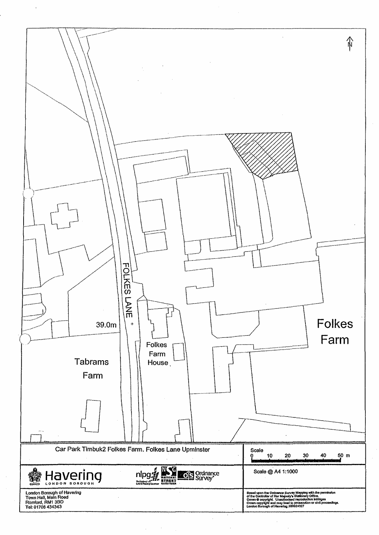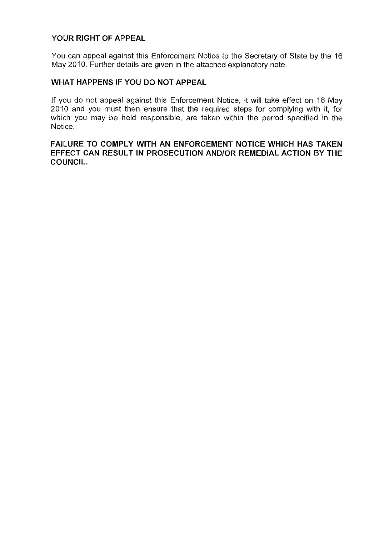## **YOUR RIGHT OF APPEAL**

You can appeal against this Enforcement Notice to the Secretary of State by the 16 May 2010. Further details are given in the attached explanatory note.

# **WHAT HAPPENS IF YOU DO NOT APPEAL**

If you do not appeal against this Enforcement Notice, it will take effect on 16 May 2010 and you must then ensure that the required steps for complying with ii, for which you may be held responsible, are taken within the period specified in the Notice.

**FAILURE TO COMPLY WITH AN ENFORCEMENT NOTICE WHICH HAS TAKEN EFFECT CAN RESULT IN PROSECUTION AND/OR REMEDIAL ACTION BY THE COUNCIL.**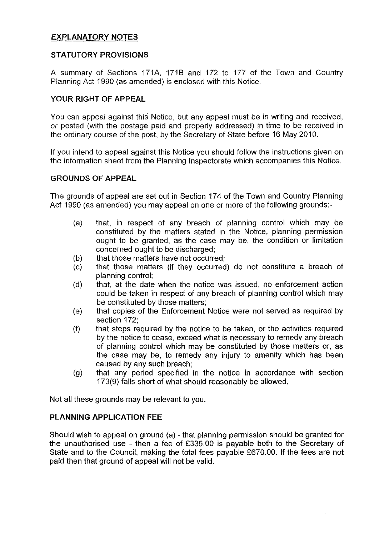# **EXPLANATORY NOTES**

## **STATUTORY PROVISIONS**

A summary of Sections 171A, 171B and 172 to 177 of the Town and Country Planning Act 1990 (as amended) is enclosed with this Notice.

# **YOUR RIGHT OF APPEAL**

You can appeal against this Notice, but any appeal must be in writing and received, or posted (with the postage paid and properly addressed) in time to be received in the ordinary course of the post, by the Secretary of State before 16 May 2010.

If you intend to appeal against this Notice you should follow the instructions given on the information sheet from the Planning Inspectorate which accompanies this Notice.

## **GROUNDS OF APPEAL**

The grounds of appeal are set out in Section 174 of the Town and Country Planning Act 1990 (as amended) you may appeal on one or more of the following grounds:-

- (a) that, in respect of any breach of planning control which may be constituted by the matters stated in the Notice, planning permission ought to be granted, as the case may be, the condition or limitation concerned ought to be discharged;
- (b) that those matters have not occurred;
- (c) that those matters (if they occurred) do not constitute a breach of planning control;
- (d) that, at the date when the notice was issued, no enforcement action could be taken in respect of any breach of planning control which may be constituted by those matters;
- (e) that copies of the Enforcement Notice were not served as required by section 172;
- (f) that steps required by the notice to be taken, or the activities required by the notice to cease, exceed what is necessary to remedy any breach of planning control which may be constituted by those matters or, as the case may be, to remedy any injury to amenity which has been caused by any such breach;
- (g) that any period specified in the notice in accordance with section 173(9) falls short of what should reasonably be allowed.

Not all these grounds may be relevant to you.

# **PLANNING APPLICATION FEE**

Should wish to appeal on ground (a) - that planning permission should be granted for the unauthorised use - then a fee of £335.00 is payable both to the Secretary of State and to the Council, making the total fees payable £670.00. If the fees are not paid then that ground of appeal will not be valid.